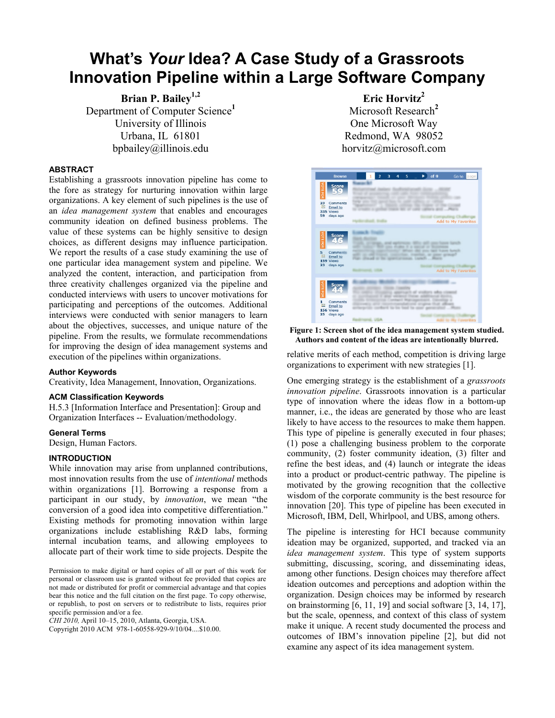# **What's** *Your* **Idea? A Case Study of a Grassroots Innovation Pipeline within a Large Software Company**

**Brian P. Bailey1,2**  Department of Computer Science**<sup>1</sup>** University of Illinois Urbana, IL 61801 bpbailey@illinois.edu

## **ABSTRACT**

Establishing a grassroots innovation pipeline has come to the fore as strategy for nurturing innovation within large organizations. A key element of such pipelines is the use of an *idea management system* that enables and encourages community ideation on defined business problems. The value of these systems can be highly sensitive to design choices, as different designs may influence participation. We report the results of a case study examining the use of one particular idea management system and pipeline. We analyzed the content, interaction, and participation from three creativity challenges organized via the pipeline and conducted interviews with users to uncover motivations for participating and perceptions of the outcomes. Additional interviews were conducted with senior managers to learn about the objectives, successes, and unique nature of the pipeline. From the results, we formulate recommendations for improving the design of idea management systems and execution of the pipelines within organizations.

## **Author Keywords**

Creativity, Idea Management, Innovation, Organizations.

#### **ACM Classification Keywords**

H.5.3 [Information Interface and Presentation]: Group and Organization Interfaces -- Evaluation/methodology.

#### **General Terms**

Design, Human Factors.

#### **INTRODUCTION**

While innovation may arise from unplanned contributions, most innovation results from the use of *intentional* methods within organizations [1]. Borrowing a response from a participant in our study, by *innovation*, we mean "the conversion of a good idea into competitive differentiation." Existing methods for promoting innovation within large organizations include establishing R&D labs, forming internal incubation teams, and allowing employees to allocate part of their work time to side projects. Despite the

Permission to make digital or hard copies of all or part of this work for personal or classroom use is granted without fee provided that copies are not made or distributed for profit or commercial advantage and that copies bear this notice and the full citation on the first page. To copy otherwise, or republish, to post on servers or to redistribute to lists, requires prior specific permission and/or a fee.

*CHI 2010,* April 10–15, 2010, Atlanta, Georgia, USA.

Copyright 2010 ACM 978-1-60558-929-9/10/04....\$10.00.

**Eric Horvitz2**  Microsoft Research<sup>2</sup> One Microsoft Way Redmond, WA 98052 horvitz@microsoft.com

| <b>Browse</b>                                                                                                  | of 9<br>$\overline{a}$<br>5<br>Go to<br>3<br>4<br>page                                                |
|----------------------------------------------------------------------------------------------------------------|-------------------------------------------------------------------------------------------------------|
| <b>Score</b><br><b>OTEFOR</b>                                                                                  |                                                                                                       |
| 23<br>Comments<br>区<br>Email to<br>335 Views<br>59<br>days ago                                                 | <b>Signal Co</b><br>ANTIQUES THE TOWN<br>many and an extent<br>--                                     |
|                                                                                                                | Add to My Favorites                                                                                   |
| Score<br>OTE FOR<br>46<br>$\frac{5}{\mathbb{Z}}$<br><b>Comments</b><br>Email to<br>159 Views<br>days ago<br>23 | since Minister II is searched<br>٠<br><b>Transit Scott St</b><br>page of<br>--<br>Add to My Favorites |
|                                                                                                                |                                                                                                       |
| <b>Score</b><br>OTE FOR                                                                                        | <b>Contract Priz</b>                                                                                  |
| Comments<br>1<br>$\overline{\mathbb{R}}$<br>Email to<br>156 Views                                              | and complete<br><b>START</b><br>short to be bed to soor a                                             |
| 25<br>days ago                                                                                                 |                                                                                                       |

**Figure 1: Screen shot of the idea management system studied. Authors and content of the ideas are intentionally blurred.** 

relative merits of each method, competition is driving large organizations to experiment with new strategies [1].

One emerging strategy is the establishment of a *grassroots innovation pipeline*. Grassroots innovation is a particular type of innovation where the ideas flow in a bottom-up manner, i.e., the ideas are generated by those who are least likely to have access to the resources to make them happen. This type of pipeline is generally executed in four phases; (1) pose a challenging business problem to the corporate community, (2) foster community ideation, (3) filter and refine the best ideas, and (4) launch or integrate the ideas into a product or product-centric pathway. The pipeline is motivated by the growing recognition that the collective wisdom of the corporate community is the best resource for innovation [20]. This type of pipeline has been executed in Microsoft, IBM, Dell, Whirlpool, and UBS, among others.

The pipeline is interesting for HCI because community ideation may be organized, supported, and tracked via an *idea management system*. This type of system supports submitting, discussing, scoring, and disseminating ideas, among other functions. Design choices may therefore affect ideation outcomes and perceptions and adoption within the organization. Design choices may be informed by research on brainstorming [6, 11, 19] and social software [3, 14, 17], but the scale, openness, and context of this class of system make it unique. A recent study documented the process and outcomes of IBM's innovation pipeline [2], but did not examine any aspect of its idea management system.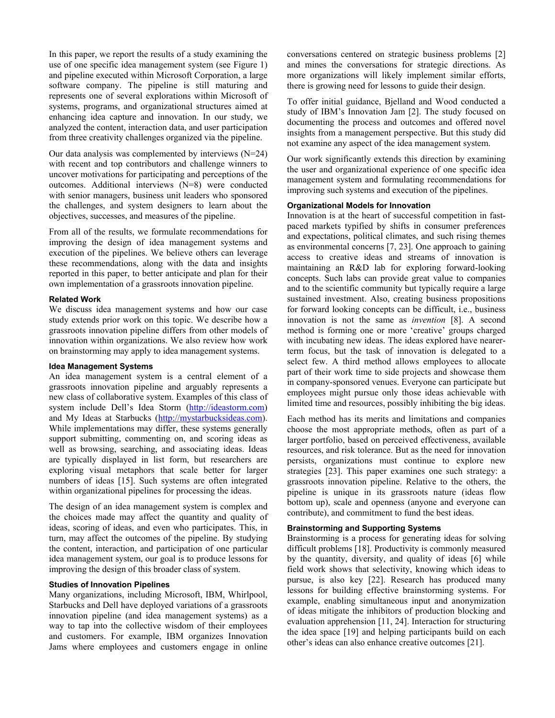In this paper, we report the results of a study examining the use of one specific idea management system (see Figure 1) and pipeline executed within Microsoft Corporation, a large software company. The pipeline is still maturing and represents one of several explorations within Microsoft of systems, programs, and organizational structures aimed at enhancing idea capture and innovation. In our study, we analyzed the content, interaction data, and user participation from three creativity challenges organized via the pipeline.

Our data analysis was complemented by interviews  $(N=24)$ with recent and top contributors and challenge winners to uncover motivations for participating and perceptions of the outcomes. Additional interviews (N=8) were conducted with senior managers, business unit leaders who sponsored the challenges, and system designers to learn about the objectives, successes, and measures of the pipeline.

From all of the results, we formulate recommendations for improving the design of idea management systems and execution of the pipelines. We believe others can leverage these recommendations, along with the data and insights reported in this paper, to better anticipate and plan for their own implementation of a grassroots innovation pipeline.

## **Related Work**

We discuss idea management systems and how our case study extends prior work on this topic. We describe how a grassroots innovation pipeline differs from other models of innovation within organizations. We also review how work on brainstorming may apply to idea management systems.

# **Idea Management Systems**

An idea management system is a central element of a grassroots innovation pipeline and arguably represents a new class of collaborative system. Examples of this class of system include Dell's Idea Storm (http://ideastorm.com) and My Ideas at Starbucks (http://mystarbucksideas.com). While implementations may differ, these systems generally support submitting, commenting on, and scoring ideas as well as browsing, searching, and associating ideas. Ideas are typically displayed in list form, but researchers are exploring visual metaphors that scale better for larger numbers of ideas [15]. Such systems are often integrated within organizational pipelines for processing the ideas.

The design of an idea management system is complex and the choices made may affect the quantity and quality of ideas, scoring of ideas, and even who participates. This, in turn, may affect the outcomes of the pipeline. By studying the content, interaction, and participation of one particular idea management system, our goal is to produce lessons for improving the design of this broader class of system.

## **Studies of Innovation Pipelines**

Many organizations, including Microsoft, IBM, Whirlpool, Starbucks and Dell have deployed variations of a grassroots innovation pipeline (and idea management systems) as a way to tap into the collective wisdom of their employees and customers. For example, IBM organizes Innovation Jams where employees and customers engage in online

conversations centered on strategic business problems [2] and mines the conversations for strategic directions. As more organizations will likely implement similar efforts, there is growing need for lessons to guide their design.

To offer initial guidance, Bjelland and Wood conducted a study of IBM's Innovation Jam [2]. The study focused on documenting the process and outcomes and offered novel insights from a management perspective. But this study did not examine any aspect of the idea management system.

Our work significantly extends this direction by examining the user and organizational experience of one specific idea management system and formulating recommendations for improving such systems and execution of the pipelines.

# **Organizational Models for Innovation**

Innovation is at the heart of successful competition in fastpaced markets typified by shifts in consumer preferences and expectations, political climates, and such rising themes as environmental concerns [7, 23]. One approach to gaining access to creative ideas and streams of innovation is maintaining an R&D lab for exploring forward-looking concepts. Such labs can provide great value to companies and to the scientific community but typically require a large sustained investment. Also, creating business propositions for forward looking concepts can be difficult, i.e., business innovation is not the same as *invention* [8]. A second method is forming one or more 'creative' groups charged with incubating new ideas. The ideas explored have nearerterm focus, but the task of innovation is delegated to a select few. A third method allows employees to allocate part of their work time to side projects and showcase them in company-sponsored venues. Everyone can participate but employees might pursue only those ideas achievable with limited time and resources, possibly inhibiting the big ideas.

Each method has its merits and limitations and companies choose the most appropriate methods, often as part of a larger portfolio, based on perceived effectiveness, available resources, and risk tolerance. But as the need for innovation persists, organizations must continue to explore new strategies [23]. This paper examines one such strategy: a grassroots innovation pipeline. Relative to the others, the pipeline is unique in its grassroots nature (ideas flow bottom up), scale and openness (anyone and everyone can contribute), and commitment to fund the best ideas.

# **Brainstorming and Supporting Systems**

Brainstorming is a process for generating ideas for solving difficult problems [18]. Productivity is commonly measured by the quantity, diversity, and quality of ideas [6] while field work shows that selectivity, knowing which ideas to pursue, is also key [22]. Research has produced many lessons for building effective brainstorming systems. For example, enabling simultaneous input and anonymization of ideas mitigate the inhibitors of production blocking and evaluation apprehension [11, 24]. Interaction for structuring the idea space [19] and helping participants build on each other's ideas can also enhance creative outcomes [21].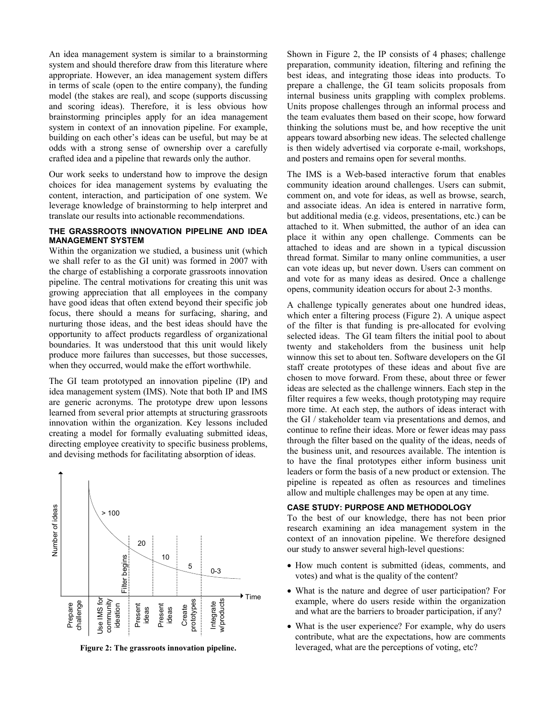An idea management system is similar to a brainstorming system and should therefore draw from this literature where appropriate. However, an idea management system differs in terms of scale (open to the entire company), the funding model (the stakes are real), and scope (supports discussing and scoring ideas). Therefore, it is less obvious how brainstorming principles apply for an idea management system in context of an innovation pipeline. For example, building on each other's ideas can be useful, but may be at odds with a strong sense of ownership over a carefully crafted idea and a pipeline that rewards only the author.

Our work seeks to understand how to improve the design choices for idea management systems by evaluating the content, interaction, and participation of one system. We leverage knowledge of brainstorming to help interpret and translate our results into actionable recommendations.

# **THE GRASSROOTS INNOVATION PIPELINE AND IDEA MANAGEMENT SYSTEM**

Within the organization we studied, a business unit (which we shall refer to as the GI unit) was formed in 2007 with the charge of establishing a corporate grassroots innovation pipeline. The central motivations for creating this unit was growing appreciation that all employees in the company have good ideas that often extend beyond their specific job focus, there should a means for surfacing, sharing, and nurturing those ideas, and the best ideas should have the opportunity to affect products regardless of organizational boundaries. It was understood that this unit would likely produce more failures than successes, but those successes, when they occurred, would make the effort worthwhile.

The GI team prototyped an innovation pipeline (IP) and idea management system (IMS). Note that both IP and IMS are generic acronyms. The prototype drew upon lessons learned from several prior attempts at structuring grassroots innovation within the organization. Key lessons included creating a model for formally evaluating submitted ideas, directing employee creativity to specific business problems, and devising methods for facilitating absorption of ideas.



Shown in Figure 2, the IP consists of 4 phases; challenge preparation, community ideation, filtering and refining the best ideas, and integrating those ideas into products. To prepare a challenge, the GI team solicits proposals from internal business units grappling with complex problems. Units propose challenges through an informal process and the team evaluates them based on their scope, how forward thinking the solutions must be, and how receptive the unit appears toward absorbing new ideas. The selected challenge is then widely advertised via corporate e-mail, workshops, and posters and remains open for several months.

The IMS is a Web-based interactive forum that enables community ideation around challenges. Users can submit, comment on, and vote for ideas, as well as browse, search, and associate ideas. An idea is entered in narrative form, but additional media (e.g. videos, presentations, etc.) can be attached to it. When submitted, the author of an idea can place it within any open challenge. Comments can be attached to ideas and are shown in a typical discussion thread format. Similar to many online communities, a user can vote ideas up, but never down. Users can comment on and vote for as many ideas as desired. Once a challenge opens, community ideation occurs for about 2-3 months.

A challenge typically generates about one hundred ideas, which enter a filtering process (Figure 2). A unique aspect of the filter is that funding is pre-allocated for evolving selected ideas. The GI team filters the initial pool to about twenty and stakeholders from the business unit help winnow this set to about ten. Software developers on the GI staff create prototypes of these ideas and about five are chosen to move forward. From these, about three or fewer ideas are selected as the challenge winners. Each step in the filter requires a few weeks, though prototyping may require more time. At each step, the authors of ideas interact with the GI / stakeholder team via presentations and demos, and continue to refine their ideas. More or fewer ideas may pass through the filter based on the quality of the ideas, needs of the business unit, and resources available. The intention is to have the final prototypes either inform business unit leaders or form the basis of a new product or extension. The pipeline is repeated as often as resources and timelines allow and multiple challenges may be open at any time.

## **CASE STUDY: PURPOSE AND METHODOLOGY**

To the best of our knowledge, there has not been prior research examining an idea management system in the context of an innovation pipeline. We therefore designed our study to answer several high-level questions:

- How much content is submitted (ideas, comments, and votes) and what is the quality of the content?
- What is the nature and degree of user participation? For example, where do users reside within the organization and what are the barriers to broader participation, if any?
- What is the user experience? For example, why do users contribute, what are the expectations, how are comments Figure 2: The grassroots innovation pipeline. **leveraged**, what are the perceptions of voting, etc?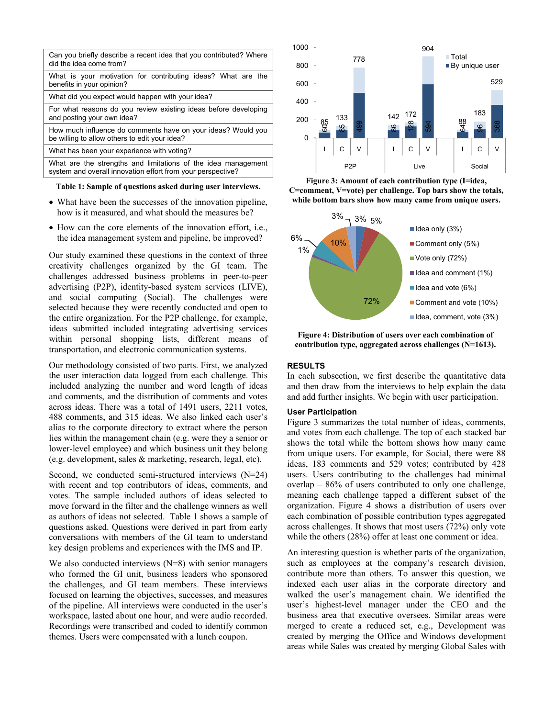| Can you briefly describe a recent idea that you contributed? Where<br>did the idea come from?                                |  |
|------------------------------------------------------------------------------------------------------------------------------|--|
| What is your motivation for contributing ideas? What are the<br>benefits in your opinion?                                    |  |
| What did you expect would happen with your idea?                                                                             |  |
| For what reasons do you review existing ideas before developing<br>and posting your own idea?                                |  |
| How much influence do comments have on your ideas? Would you<br>be willing to allow others to edit your idea?                |  |
| What has been your experience with voting?                                                                                   |  |
| What are the strengths and limitations of the idea management<br>system and overall innovation effort from your perspective? |  |

- What have been the successes of the innovation pipeline, how is it measured, and what should the measures be?
- How can the core elements of the innovation effort, i.e., the idea management system and pipeline, be improved?

Our study examined these questions in the context of three creativity challenges organized by the GI team. The challenges addressed business problems in peer-to-peer advertising (P2P), identity-based system services (LIVE), and social computing (Social). The challenges were selected because they were recently conducted and open to the entire organization. For the P2P challenge, for example, ideas submitted included integrating advertising services within personal shopping lists, different means of transportation, and electronic communication systems.

Our methodology consisted of two parts. First, we analyzed the user interaction data logged from each challenge. This included analyzing the number and word length of ideas and comments, and the distribution of comments and votes across ideas. There was a total of 1491 users, 2211 votes, 488 comments, and 315 ideas. We also linked each user's alias to the corporate directory to extract where the person lies within the management chain (e.g. were they a senior or lower-level employee) and which business unit they belong (e.g. development, sales & marketing, research, legal, etc).

Second, we conducted semi-structured interviews (N=24) with recent and top contributors of ideas, comments, and votes. The sample included authors of ideas selected to move forward in the filter and the challenge winners as well as authors of ideas not selected. Table 1 shows a sample of questions asked. Questions were derived in part from early conversations with members of the GI team to understand key design problems and experiences with the IMS and IP.

We also conducted interviews (N=8) with senior managers who formed the GI unit, business leaders who sponsored the challenges, and GI team members. These interviews focused on learning the objectives, successes, and measures of the pipeline. All interviews were conducted in the user's workspace, lasted about one hour, and were audio recorded. Recordings were transcribed and coded to identify common themes. Users were compensated with a lunch coupon.



**Table 1: Sample of questions asked during user interviews. Figure 3: Amount of each contribution type (I=idea,**  $\overline{C}$  and  $\overline{C}$  and  $\overline{C}$  and  $\overline{C}$  and  $\overline{C}$  and  $\overline{C}$  and  $\overline{C}$  and  $\overline{C}$  and  $\over$ **C=comment, V=vote) per challenge. Top bars show the totals, while bottom bars show how many came from unique users.** 



**Figure 4: Distribution of users over each combination of** 

## **RESULTS**

In each subsection, we first describe the quantitative data and then draw from the interviews to help explain the data and add further insights. We begin with user participation.

#### **User Participation**

Figure 3 summarizes the total number of ideas, comments, and votes from each challenge. The top of each stacked bar shows the total while the bottom shows how many came from unique users. For example, for Social, there were 88 ideas, 183 comments and 529 votes; contributed by 428 users. Users contributing to the challenges had minimal overlap  $-86\%$  of users contributed to only one challenge, meaning each challenge tapped a different subset of the organization. Figure 4 shows a distribution of users over each combination of possible contribution types aggregated across challenges. It shows that most users (72%) only vote while the others (28%) offer at least one comment or idea.

An interesting question is whether parts of the organization, such as employees at the company's research division, contribute more than others. To answer this question, we indexed each user alias in the corporate directory and walked the user's management chain. We identified the user's highest-level manager under the CEO and the business area that executive oversees. Similar areas were merged to create a reduced set, e.g., Development was created by merging the Office and Windows development areas while Sales was created by merging Global Sales with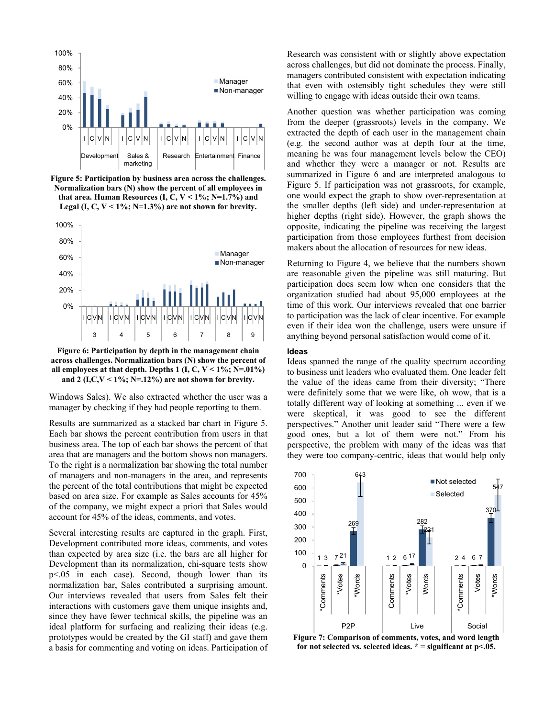

**Figure 5: Participation by business area across the challenges. Normalization bars (N) show the percent of all employees in that area. Human Resources (I, C, V < 1%; N=1.7%) and**  Legal  $(I, C, V < 1\%; N=1.3\%)$  are not shown for brevity.



**Figure 6: Participation by depth in the management chain across challenges. Normalization bars (N) show the percent of**  all employees at that depth. Depths  $1$  (I, C,  $V < 1\%$ ; N=.01%) **and 2 (I,C,V < 1%; N=.12%) are not shown for brevity.** 

Windows Sales). We also extracted whether the user was a manager by checking if they had people reporting to them.

Results are summarized as a stacked bar chart in Figure 5. Each bar shows the percent contribution from users in that business area. The top of each bar shows the percent of that area that are managers and the bottom shows non managers. To the right is a normalization bar showing the total number of managers and non-managers in the area, and represents the percent of the total contributions that might be expected based on area size. For example as Sales accounts for 45% of the company, we might expect a priori that Sales would account for 45% of the ideas, comments, and votes.

Several interesting results are captured in the graph. First, Development contributed more ideas, comments, and votes than expected by area size (i.e. the bars are all higher for Development than its normalization, chi-square tests show p<.05 in each case). Second, though lower than its normalization bar, Sales contributed a surprising amount. Our interviews revealed that users from Sales felt their interactions with customers gave them unique insights and, since they have fewer technical skills, the pipeline was an ideal platform for surfacing and realizing their ideas (e.g. prototypes would be created by the GI staff) and gave them a basis for commenting and voting on ideas. Participation of Research was consistent with or slightly above expectation across challenges, but did not dominate the process. Finally, managers contributed consistent with expectation indicating that even with ostensibly tight schedules they were still willing to engage with ideas outside their own teams.

Another question was whether participation was coming from the deeper (grassroots) levels in the company. We extracted the depth of each user in the management chain (e.g. the second author was at depth four at the time, meaning he was four management levels below the CEO) and whether they were a manager or not. Results are summarized in Figure 6 and are interpreted analogous to Figure 5. If participation was not grassroots, for example, one would expect the graph to show over-representation at the smaller depths (left side) and under-representation at higher depths (right side). However, the graph shows the opposite, indicating the pipeline was receiving the largest participation from those employees furthest from decision makers about the allocation of resources for new ideas.

Returning to Figure 4, we believe that the numbers shown are reasonable given the pipeline was still maturing. But participation does seem low when one considers that the organization studied had about 95,000 employees at the time of this work. Our interviews revealed that one barrier to participation was the lack of clear incentive. For example even if their idea won the challenge, users were unsure if anything beyond personal satisfaction would come of it.

# **Ideas**

Ideas spanned the range of the quality spectrum according to business unit leaders who evaluated them. One leader felt the value of the ideas came from their diversity; "There were definitely some that we were like, oh wow, that is a totally different way of looking at something ... even if we were skeptical, it was good to see the different perspectives." Another unit leader said "There were a few good ones, but a lot of them were not." From his perspective, the problem with many of the ideas was that they were too company-centric, ideas that would help only



**Figure 7: Comparison of comments, votes, and word length for not selected vs. selected ideas. \* = significant at p<.05.**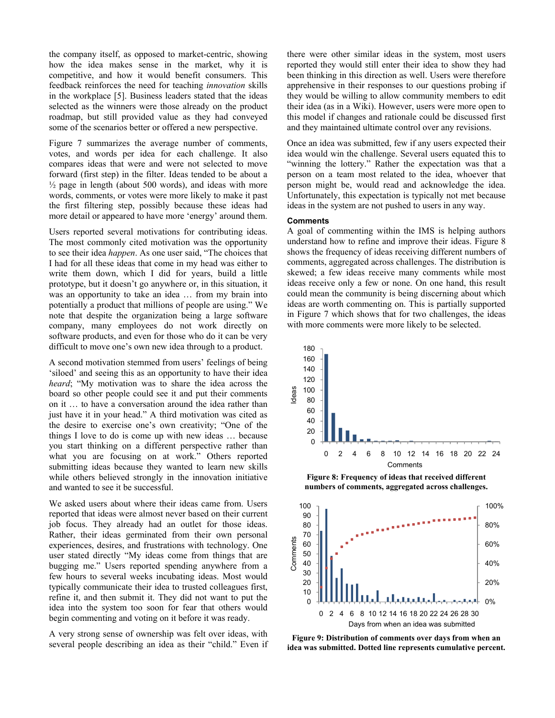the company itself, as opposed to market-centric, showing how the idea makes sense in the market, why it is competitive, and how it would benefit consumers. This feedback reinforces the need for teaching *innovation* skills in the workplace [5]. Business leaders stated that the ideas selected as the winners were those already on the product roadmap, but still provided value as they had conveyed some of the scenarios better or offered a new perspective.

Figure 7 summarizes the average number of comments, votes, and words per idea for each challenge. It also compares ideas that were and were not selected to move forward (first step) in the filter. Ideas tended to be about a  $\frac{1}{2}$  page in length (about 500 words), and ideas with more words, comments, or votes were more likely to make it past the first filtering step, possibly because these ideas had more detail or appeared to have more 'energy' around them.

Users reported several motivations for contributing ideas. The most commonly cited motivation was the opportunity to see their idea *happen*. As one user said, "The choices that I had for all these ideas that come in my head was either to write them down, which I did for years, build a little prototype, but it doesn't go anywhere or, in this situation, it was an opportunity to take an idea … from my brain into potentially a product that millions of people are using." We note that despite the organization being a large software company, many employees do not work directly on software products, and even for those who do it can be very difficult to move one's own new idea through to a product.

A second motivation stemmed from users' feelings of being 'siloed' and seeing this as an opportunity to have their idea *heard*; "My motivation was to share the idea across the board so other people could see it and put their comments on it … to have a conversation around the idea rather than just have it in your head." A third motivation was cited as the desire to exercise one's own creativity; "One of the things I love to do is come up with new ideas … because you start thinking on a different perspective rather than what you are focusing on at work." Others reported submitting ideas because they wanted to learn new skills while others believed strongly in the innovation initiative and wanted to see it be successful.

We asked users about where their ideas came from. Users reported that ideas were almost never based on their current job focus. They already had an outlet for those ideas. Rather, their ideas germinated from their own personal experiences, desires, and frustrations with technology. One user stated directly "My ideas come from things that are bugging me." Users reported spending anywhere from a few hours to several weeks incubating ideas. Most would typically communicate their idea to trusted colleagues first, refine it, and then submit it. They did not want to put the idea into the system too soon for fear that others would begin commenting and voting on it before it was ready.

A very strong sense of ownership was felt over ideas, with several people describing an idea as their "child." Even if there were other similar ideas in the system, most users reported they would still enter their idea to show they had been thinking in this direction as well. Users were therefore apprehensive in their responses to our questions probing if they would be willing to allow community members to edit their idea (as in a Wiki). However, users were more open to this model if changes and rationale could be discussed first and they maintained ultimate control over any revisions.

Once an idea was submitted, few if any users expected their idea would win the challenge. Several users equated this to "winning the lottery." Rather the expectation was that a person on a team most related to the idea, whoever that person might be, would read and acknowledge the idea. Unfortunately, this expectation is typically not met because ideas in the system are not pushed to users in any way.

#### **Comments**

A goal of commenting within the IMS is helping authors understand how to refine and improve their ideas. Figure 8 shows the frequency of ideas receiving different numbers of comments, aggregated across challenges. The distribution is skewed; a few ideas receive many comments while most ideas receive only a few or none. On one hand, this result could mean the community is being discerning about which ideas are worth commenting on. This is partially supported in Figure 7 which shows that for two challenges, the ideas with more comments were more likely to be selected.



**Figure 8: Frequency of ideas that received different numbers of comments, aggregated across challenges.** 



**Figure 9: Distribution of comments over days from when an idea was submitted. Dotted line represents cumulative percent.**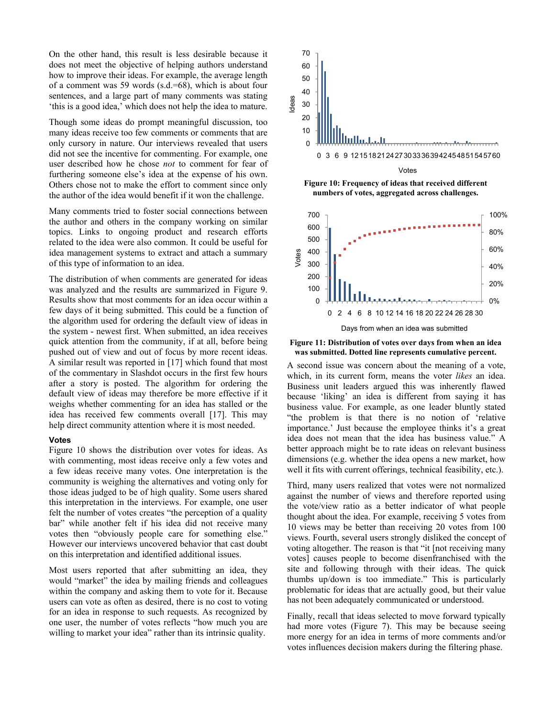On the other hand, this result is less desirable because it does not meet the objective of helping authors understand how to improve their ideas. For example, the average length of a comment was 59 words  $(s.d.=68)$ , which is about four sentences, and a large part of many comments was stating 'this is a good idea,' which does not help the idea to mature.

Though some ideas do prompt meaningful discussion, too many ideas receive too few comments or comments that are only cursory in nature. Our interviews revealed that users did not see the incentive for commenting. For example, one user described how he chose *not* to comment for fear of furthering someone else's idea at the expense of his own. Others chose not to make the effort to comment since only the author of the idea would benefit if it won the challenge.

Many comments tried to foster social connections between the author and others in the company working on similar topics. Links to ongoing product and research efforts related to the idea were also common. It could be useful for idea management systems to extract and attach a summary of this type of information to an idea.

The distribution of when comments are generated for ideas was analyzed and the results are summarized in Figure 9. Results show that most comments for an idea occur within a few days of it being submitted. This could be a function of the algorithm used for ordering the default view of ideas in the system - newest first. When submitted, an idea receives quick attention from the community, if at all, before being pushed out of view and out of focus by more recent ideas. A similar result was reported in [17] which found that most of the commentary in Slashdot occurs in the first few hours after a story is posted. The algorithm for ordering the default view of ideas may therefore be more effective if it weighs whether commenting for an idea has stalled or the idea has received few comments overall [17]. This may help direct community attention where it is most needed.

#### **Votes**

Figure 10 shows the distribution over votes for ideas. As with commenting, most ideas receive only a few votes and a few ideas receive many votes. One interpretation is the community is weighing the alternatives and voting only for those ideas judged to be of high quality. Some users shared this interpretation in the interviews. For example, one user felt the number of votes creates "the perception of a quality bar" while another felt if his idea did not receive many votes then "obviously people care for something else." However our interviews uncovered behavior that cast doubt on this interpretation and identified additional issues.

Most users reported that after submitting an idea, they would "market" the idea by mailing friends and colleagues within the company and asking them to vote for it. Because users can vote as often as desired, there is no cost to voting for an idea in response to such requests. As recognized by one user, the number of votes reflects "how much you are willing to market your idea" rather than its intrinsic quality.



**Figure 10: Frequency of ideas that received different numbers of votes, aggregated across challenges.** 



**Figure 11: Distribution of votes over days from when an idea was submitted. Dotted line represents cumulative percent.** 

A second issue was concern about the meaning of a vote, which, in its current form, means the voter *likes* an idea. Business unit leaders argued this was inherently flawed because 'liking' an idea is different from saying it has business value. For example, as one leader bluntly stated "the problem is that there is no notion of 'relative importance.' Just because the employee thinks it's a great idea does not mean that the idea has business value." A better approach might be to rate ideas on relevant business dimensions (e.g. whether the idea opens a new market, how well it fits with current offerings, technical feasibility, etc.).

Third, many users realized that votes were not normalized against the number of views and therefore reported using the vote/view ratio as a better indicator of what people thought about the idea. For example, receiving 5 votes from 10 views may be better than receiving 20 votes from 100 views. Fourth, several users strongly disliked the concept of voting altogether. The reason is that "it [not receiving many votes] causes people to become disenfranchised with the site and following through with their ideas. The quick thumbs up/down is too immediate." This is particularly problematic for ideas that are actually good, but their value has not been adequately communicated or understood.

Finally, recall that ideas selected to move forward typically had more votes (Figure 7). This may be because seeing more energy for an idea in terms of more comments and/or votes influences decision makers during the filtering phase.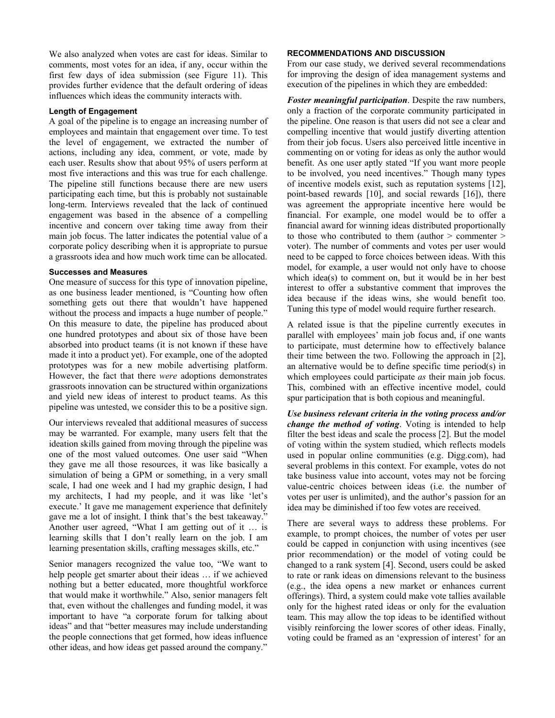We also analyzed when votes are cast for ideas. Similar to comments, most votes for an idea, if any, occur within the first few days of idea submission (see Figure 11). This provides further evidence that the default ordering of ideas influences which ideas the community interacts with.

## **Length of Engagement**

A goal of the pipeline is to engage an increasing number of employees and maintain that engagement over time. To test the level of engagement, we extracted the number of actions, including any idea, comment, or vote, made by each user. Results show that about 95% of users perform at most five interactions and this was true for each challenge. The pipeline still functions because there are new users participating each time, but this is probably not sustainable long-term. Interviews revealed that the lack of continued engagement was based in the absence of a compelling incentive and concern over taking time away from their main job focus. The latter indicates the potential value of a corporate policy describing when it is appropriate to pursue a grassroots idea and how much work time can be allocated.

#### **Successes and Measures**

One measure of success for this type of innovation pipeline, as one business leader mentioned, is "Counting how often something gets out there that wouldn't have happened without the process and impacts a huge number of people." On this measure to date, the pipeline has produced about one hundred prototypes and about six of those have been absorbed into product teams (it is not known if these have made it into a product yet). For example, one of the adopted prototypes was for a new mobile advertising platform. However, the fact that there *were* adoptions demonstrates grassroots innovation can be structured within organizations and yield new ideas of interest to product teams. As this pipeline was untested, we consider this to be a positive sign.

Our interviews revealed that additional measures of success may be warranted. For example, many users felt that the ideation skills gained from moving through the pipeline was one of the most valued outcomes. One user said "When they gave me all those resources, it was like basically a simulation of being a GPM or something, in a very small scale, I had one week and I had my graphic design, I had my architects, I had my people, and it was like 'let's execute.' It gave me management experience that definitely gave me a lot of insight. I think that's the best takeaway." Another user agreed, "What I am getting out of it … is learning skills that I don't really learn on the job. I am learning presentation skills, crafting messages skills, etc."

Senior managers recognized the value too, "We want to help people get smarter about their ideas … if we achieved nothing but a better educated, more thoughtful workforce that would make it worthwhile." Also, senior managers felt that, even without the challenges and funding model, it was important to have "a corporate forum for talking about ideas" and that "better measures may include understanding the people connections that get formed, how ideas influence other ideas, and how ideas get passed around the company."

#### **RECOMMENDATIONS AND DISCUSSION**

From our case study, we derived several recommendations for improving the design of idea management systems and execution of the pipelines in which they are embedded:

*Foster meaningful participation*. Despite the raw numbers, only a fraction of the corporate community participated in the pipeline. One reason is that users did not see a clear and compelling incentive that would justify diverting attention from their job focus. Users also perceived little incentive in commenting on or voting for ideas as only the author would benefit. As one user aptly stated "If you want more people to be involved, you need incentives." Though many types of incentive models exist, such as reputation systems [12], point-based rewards [10], and social rewards [16]), there was agreement the appropriate incentive here would be financial. For example, one model would be to offer a financial award for winning ideas distributed proportionally to those who contributed to them (author  $>$  commenter  $>$ voter). The number of comments and votes per user would need to be capped to force choices between ideas. With this model, for example, a user would not only have to choose which idea(s) to comment on, but it would be in her best interest to offer a substantive comment that improves the idea because if the ideas wins, she would benefit too. Tuning this type of model would require further research.

A related issue is that the pipeline currently executes in parallel with employees' main job focus and, if one wants to participate, must determine how to effectively balance their time between the two. Following the approach in [2], an alternative would be to define specific time period(s) in which employees could participate *as* their main job focus. This, combined with an effective incentive model, could spur participation that is both copious and meaningful.

*Use business relevant criteria in the voting process and/or change the method of voting*. Voting is intended to help filter the best ideas and scale the process [2]. But the model of voting within the system studied, which reflects models used in popular online communities (e.g. Digg.com), had several problems in this context. For example, votes do not take business value into account, votes may not be forcing value-centric choices between ideas (i.e. the number of votes per user is unlimited), and the author's passion for an idea may be diminished if too few votes are received.

There are several ways to address these problems. For example, to prompt choices, the number of votes per user could be capped in conjunction with using incentives (see prior recommendation) or the model of voting could be changed to a rank system [4]. Second, users could be asked to rate or rank ideas on dimensions relevant to the business (e.g., the idea opens a new market or enhances current offerings). Third, a system could make vote tallies available only for the highest rated ideas or only for the evaluation team. This may allow the top ideas to be identified without visibly reinforcing the lower scores of other ideas. Finally, voting could be framed as an 'expression of interest' for an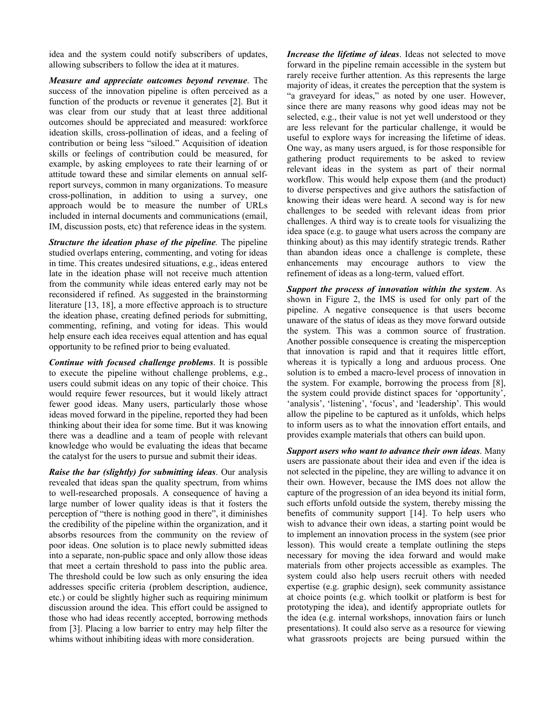idea and the system could notify subscribers of updates, allowing subscribers to follow the idea at it matures.

*Measure and appreciate outcomes beyond revenue*. The success of the innovation pipeline is often perceived as a function of the products or revenue it generates [2]. But it was clear from our study that at least three additional outcomes should be appreciated and measured: workforce ideation skills, cross-pollination of ideas, and a feeling of contribution or being less "siloed." Acquisition of ideation skills or feelings of contribution could be measured, for example, by asking employees to rate their learning of or attitude toward these and similar elements on annual selfreport surveys, common in many organizations. To measure cross-pollination, in addition to using a survey, one approach would be to measure the number of URLs included in internal documents and communications (email, IM, discussion posts, etc) that reference ideas in the system.

*Structure the ideation phase of the pipeline.* The pipeline studied overlaps entering, commenting, and voting for ideas in time. This creates undesired situations, e.g., ideas entered late in the ideation phase will not receive much attention from the community while ideas entered early may not be reconsidered if refined. As suggested in the brainstorming literature [13, 18], a more effective approach is to structure the ideation phase, creating defined periods for submitting, commenting, refining, and voting for ideas. This would help ensure each idea receives equal attention and has equal opportunity to be refined prior to being evaluated.

*Continue with focused challenge problems*. It is possible to execute the pipeline without challenge problems, e.g., users could submit ideas on any topic of their choice. This would require fewer resources, but it would likely attract fewer good ideas. Many users, particularly those whose ideas moved forward in the pipeline, reported they had been thinking about their idea for some time. But it was knowing there was a deadline and a team of people with relevant knowledge who would be evaluating the ideas that became the catalyst for the users to pursue and submit their ideas.

*Raise the bar (slightly) for submitting ideas*. Our analysis revealed that ideas span the quality spectrum, from whims to well-researched proposals. A consequence of having a large number of lower quality ideas is that it fosters the perception of "there is nothing good in there", it diminishes the credibility of the pipeline within the organization, and it absorbs resources from the community on the review of poor ideas. One solution is to place newly submitted ideas into a separate, non-public space and only allow those ideas that meet a certain threshold to pass into the public area. The threshold could be low such as only ensuring the idea addresses specific criteria (problem description, audience, etc.) or could be slightly higher such as requiring minimum discussion around the idea. This effort could be assigned to those who had ideas recently accepted, borrowing methods from [3]. Placing a low barrier to entry may help filter the whims without inhibiting ideas with more consideration.

*Increase the lifetime of ideas*. Ideas not selected to move forward in the pipeline remain accessible in the system but rarely receive further attention. As this represents the large majority of ideas, it creates the perception that the system is "a graveyard for ideas," as noted by one user. However, since there are many reasons why good ideas may not be selected, e.g., their value is not yet well understood or they are less relevant for the particular challenge, it would be useful to explore ways for increasing the lifetime of ideas. One way, as many users argued, is for those responsible for gathering product requirements to be asked to review relevant ideas in the system as part of their normal workflow. This would help expose them (and the product) to diverse perspectives and give authors the satisfaction of knowing their ideas were heard. A second way is for new challenges to be seeded with relevant ideas from prior challenges. A third way is to create tools for visualizing the idea space (e.g. to gauge what users across the company are thinking about) as this may identify strategic trends. Rather than abandon ideas once a challenge is complete, these enhancements may encourage authors to view the refinement of ideas as a long-term, valued effort.

*Support the process of innovation within the system*. As shown in Figure 2, the IMS is used for only part of the pipeline. A negative consequence is that users become unaware of the status of ideas as they move forward outside the system. This was a common source of frustration. Another possible consequence is creating the misperception that innovation is rapid and that it requires little effort, whereas it is typically a long and arduous process. One solution is to embed a macro-level process of innovation in the system. For example, borrowing the process from [8], the system could provide distinct spaces for 'opportunity', 'analysis', 'listening', 'focus', and 'leadership'. This would allow the pipeline to be captured as it unfolds, which helps to inform users as to what the innovation effort entails, and provides example materials that others can build upon.

*Support users who want to advance their own ideas*. Many users are passionate about their idea and even if the idea is not selected in the pipeline, they are willing to advance it on their own. However, because the IMS does not allow the capture of the progression of an idea beyond its initial form, such efforts unfold outside the system, thereby missing the benefits of community support [14]. To help users who wish to advance their own ideas, a starting point would be to implement an innovation process in the system (see prior lesson). This would create a template outlining the steps necessary for moving the idea forward and would make materials from other projects accessible as examples. The system could also help users recruit others with needed expertise (e.g. graphic design), seek community assistance at choice points (e.g. which toolkit or platform is best for prototyping the idea), and identify appropriate outlets for the idea (e.g. internal workshops, innovation fairs or lunch presentations). It could also serve as a resource for viewing what grassroots projects are being pursued within the